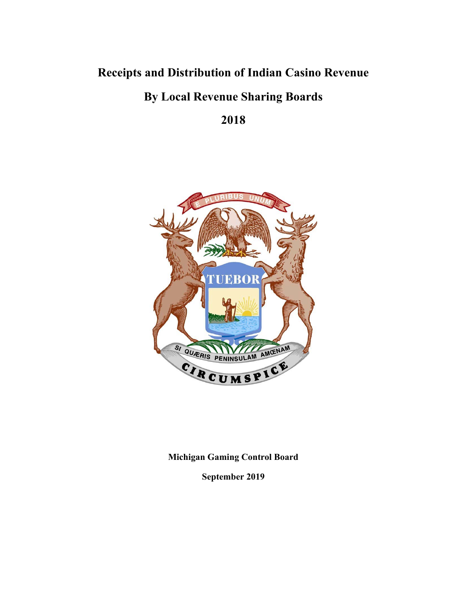# **Receipts and Distribution of Indian Casino Revenue**

# **By Local Revenue Sharing Boards**

**2018**



**Michigan Gaming Control Board**

**September 2019**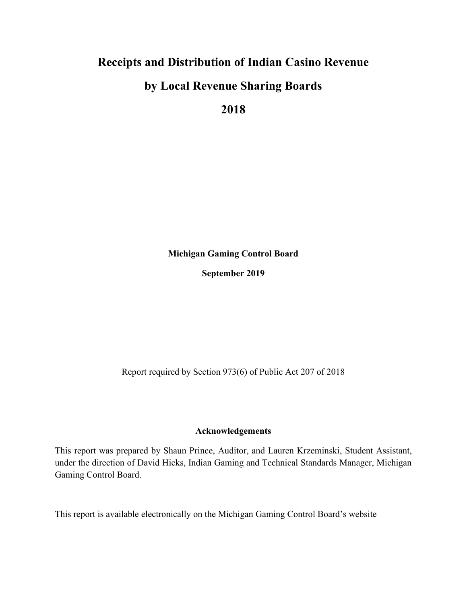## **Receipts and Distribution of Indian Casino Revenue**

## **by Local Revenue Sharing Boards**

**2018**

## **Michigan Gaming Control Board**

**September 2019**

Report required by Section 973(6) of Public Act 207 of 2018

#### **Acknowledgements**

This report was prepared by Shaun Prince, Auditor, and Lauren Krzeminski, Student Assistant, under the direction of David Hicks, Indian Gaming and Technical Standards Manager, Michigan Gaming Control Board.

This report is available electronically on the Michigan Gaming Control Board's website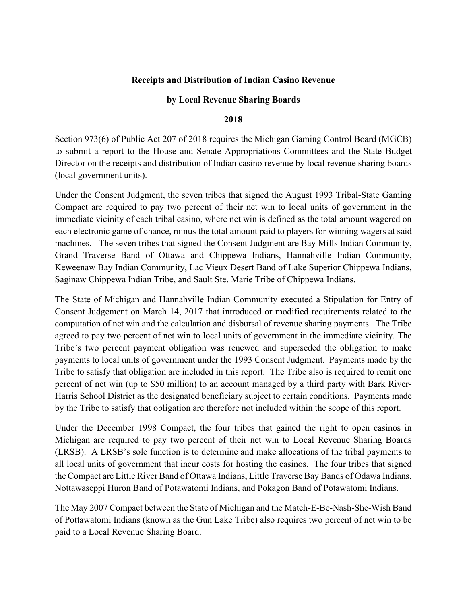### **Receipts and Distribution of Indian Casino Revenue**

#### **by Local Revenue Sharing Boards**

#### **2018**

Section 973(6) of Public Act 207 of 2018 requires the Michigan Gaming Control Board (MGCB) to submit a report to the House and Senate Appropriations Committees and the State Budget Director on the receipts and distribution of Indian casino revenue by local revenue sharing boards (local government units).

Under the Consent Judgment, the seven tribes that signed the August 1993 Tribal-State Gaming Compact are required to pay two percent of their net win to local units of government in the immediate vicinity of each tribal casino, where net win is defined as the total amount wagered on each electronic game of chance, minus the total amount paid to players for winning wagers at said machines. The seven tribes that signed the Consent Judgment are Bay Mills Indian Community, Grand Traverse Band of Ottawa and Chippewa Indians, Hannahville Indian Community, Keweenaw Bay Indian Community, Lac Vieux Desert Band of Lake Superior Chippewa Indians, Saginaw Chippewa Indian Tribe, and Sault Ste. Marie Tribe of Chippewa Indians.

The State of Michigan and Hannahville Indian Community executed a Stipulation for Entry of Consent Judgement on March 14, 2017 that introduced or modified requirements related to the computation of net win and the calculation and disbursal of revenue sharing payments. The Tribe agreed to pay two percent of net win to local units of government in the immediate vicinity. The Tribe's two percent payment obligation was renewed and superseded the obligation to make payments to local units of government under the 1993 Consent Judgment. Payments made by the Tribe to satisfy that obligation are included in this report. The Tribe also is required to remit one percent of net win (up to \$50 million) to an account managed by a third party with Bark River-Harris School District as the designated beneficiary subject to certain conditions. Payments made by the Tribe to satisfy that obligation are therefore not included within the scope of this report.

Under the December 1998 Compact, the four tribes that gained the right to open casinos in Michigan are required to pay two percent of their net win to Local Revenue Sharing Boards (LRSB). A LRSB's sole function is to determine and make allocations of the tribal payments to all local units of government that incur costs for hosting the casinos. The four tribes that signed the Compact are Little River Band of Ottawa Indians, Little Traverse Bay Bands of Odawa Indians, Nottawaseppi Huron Band of Potawatomi Indians, and Pokagon Band of Potawatomi Indians.

The May 2007 Compact between the State of Michigan and the Match-E-Be-Nash-She-Wish Band of Pottawatomi Indians (known as the Gun Lake Tribe) also requires two percent of net win to be paid to a Local Revenue Sharing Board.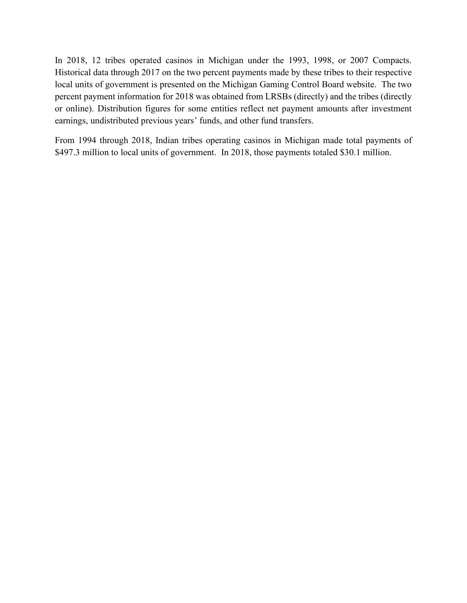In 2018, 12 tribes operated casinos in Michigan under the 1993, 1998, or 2007 Compacts. Historical data through 2017 on the two percent payments made by these tribes to their respective local units of government is presented on the Michigan Gaming Control Board website. The two percent payment information for 2018 was obtained from LRSBs (directly) and the tribes (directly or online). Distribution figures for some entities reflect net payment amounts after investment earnings, undistributed previous years' funds, and other fund transfers.

From 1994 through 2018, Indian tribes operating casinos in Michigan made total payments of \$497.3 million to local units of government. In 2018, those payments totaled \$30.1 million.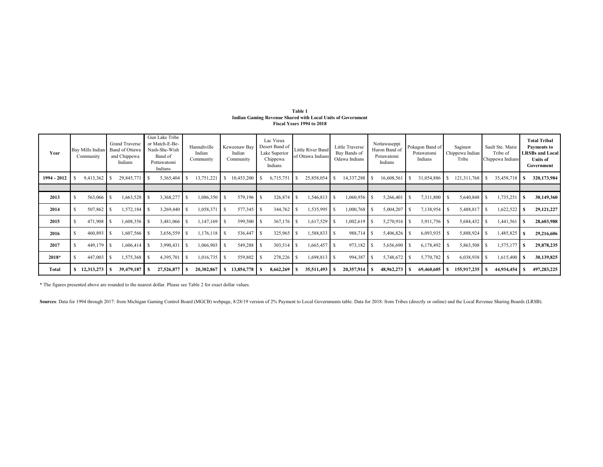| Table 1                                                     |
|-------------------------------------------------------------|
| Indian Gaming Revenue Shared with Local Units of Government |
| Fiscal Years 1994 to 2018                                   |

| Year        | Bay Mills Indian<br>Community | <b>Grand Traverse</b><br><b>Band of Ottawa</b><br>and Chippewa<br>Indians | Gun Lake Tribe<br>or Match-E-Be-<br>Nash-She-Wish<br>Band of<br>Pottawatomi<br>Indians | Hannahville<br>Indian<br>Community | Keweenaw Bay<br>Indian<br>Community | Lac Vieux<br>Desert Band of<br>Lake Superior<br>Chippewa<br>Indians | Little River Band<br>of Ottawa Indians |    | Little Traverse<br>Bay Bands of<br>Odawa Indians |  |              |    | Nottawaseppi<br>Huron Band of<br>Potawatomi<br>Indians |  |             |            |             |  |  |  |  |  |  |  |  |  |  |  |  |  |  |  |  |  |  |  |  |  |  |  |  |  |  |  |  |  |  |  |  |  |  |  |  |  |  |  |  |  |  |  | Pokagon Band of<br>Potawatomi<br>Indians |  | Saginaw<br>Chippewa Indian<br>Tribe | Sault Ste. Marie<br>Tribe of<br>Chippewa Indians | <b>Total Tribal</b><br><b>Payments to</b><br><b>LRSBs and Local</b><br><b>Units of</b><br>Government |
|-------------|-------------------------------|---------------------------------------------------------------------------|----------------------------------------------------------------------------------------|------------------------------------|-------------------------------------|---------------------------------------------------------------------|----------------------------------------|----|--------------------------------------------------|--|--------------|----|--------------------------------------------------------|--|-------------|------------|-------------|--|--|--|--|--|--|--|--|--|--|--|--|--|--|--|--|--|--|--|--|--|--|--|--|--|--|--|--|--|--|--|--|--|--|--|--|--|--|--|--|--|--|--|------------------------------------------|--|-------------------------------------|--------------------------------------------------|------------------------------------------------------------------------------------------------------|
| 1994 - 2012 | 9,413,362                     | 29,845,771                                                                | 5,365,404                                                                              | 13,751,221                         | 10,453,200                          | 6,715,751                                                           | 25,858,054                             |    | 14,337,288                                       |  | 16,608,561   |    | 31,054,886                                             |  | 121,311,768 | 35,458,718 | 320,173,984 |  |  |  |  |  |  |  |  |  |  |  |  |  |  |  |  |  |  |  |  |  |  |  |  |  |  |  |  |  |  |  |  |  |  |  |  |  |  |  |  |  |  |  |                                          |  |                                     |                                                  |                                                                                                      |
|             |                               |                                                                           |                                                                                        |                                    |                                     |                                                                     |                                        |    |                                                  |  |              |    |                                                        |  |             |            |             |  |  |  |  |  |  |  |  |  |  |  |  |  |  |  |  |  |  |  |  |  |  |  |  |  |  |  |  |  |  |  |  |  |  |  |  |  |  |  |  |  |  |  |                                          |  |                                     |                                                  |                                                                                                      |
| 2013        | 563,066                       | 1,663,528 \$                                                              | 3,368,277                                                                              | 1,086,350                          | 579,196                             | 326,874                                                             | 1,546,813                              | ΙS | 1,060,956 \$                                     |  | 5,266,401    |    | 7,311,800                                              |  | 5,640,848   | 1,735,251  | 30,149,360  |  |  |  |  |  |  |  |  |  |  |  |  |  |  |  |  |  |  |  |  |  |  |  |  |  |  |  |  |  |  |  |  |  |  |  |  |  |  |  |  |  |  |  |                                          |  |                                     |                                                  |                                                                                                      |
| 2014        | 507,862                       | 1,572,184                                                                 | 3,269,440                                                                              | 1,058,371                          | 577,345                             | 344,762                                                             | .535,995                               |    | 1,000,768                                        |  | 5,004,207    |    | 7,138,954                                              |  | 5,488,817   | 1,622,522  | 29,121,227  |  |  |  |  |  |  |  |  |  |  |  |  |  |  |  |  |  |  |  |  |  |  |  |  |  |  |  |  |  |  |  |  |  |  |  |  |  |  |  |  |  |  |  |                                          |  |                                     |                                                  |                                                                                                      |
| 2015        | 471,908                       | 1,608,356                                                                 | 3,481,066                                                                              | 1,147,169                          | 599,500                             | 367,176                                                             | ,617,529                               |    | 1,002,619                                        |  | 5,270,916    | -S | 5,911,756                                              |  | 5,684,432   | 1,441,561  | 28,603,988  |  |  |  |  |  |  |  |  |  |  |  |  |  |  |  |  |  |  |  |  |  |  |  |  |  |  |  |  |  |  |  |  |  |  |  |  |  |  |  |  |  |  |  |                                          |  |                                     |                                                  |                                                                                                      |
| 2016        | 460,893                       | 1,607,566<br>-8                                                           | 3,656,559                                                                              | 1,176,118                          | 536,447                             | 325,965                                                             | ,588,833                               |    | 988,714 \$                                       |  | 5,406,826    |    | 6,093,935                                              |  | 5,888,924   | 1,485,825  | 29,216,606  |  |  |  |  |  |  |  |  |  |  |  |  |  |  |  |  |  |  |  |  |  |  |  |  |  |  |  |  |  |  |  |  |  |  |  |  |  |  |  |  |  |  |  |                                          |  |                                     |                                                  |                                                                                                      |
| 2017        | 449,179                       | $1,606,414$ \$<br>-8                                                      | 3,990,431                                                                              | ,066,903                           | 549,288                             | 303,514                                                             | .665,457                               |    | 973,182                                          |  | 5,656,690 \$ |    | 6,178,492                                              |  | 5,863,508   | 1,575,177  | 29,878,235  |  |  |  |  |  |  |  |  |  |  |  |  |  |  |  |  |  |  |  |  |  |  |  |  |  |  |  |  |  |  |  |  |  |  |  |  |  |  |  |  |  |  |  |                                          |  |                                     |                                                  |                                                                                                      |
| 2018*       | 447,003                       | 1,575,368                                                                 | 4,395,701                                                                              | .016,735                           | 559,802                             | 278,226                                                             | .698,813                               |    | 994,387                                          |  | 5,748,672    |    | 5,770,782                                              |  | 6,038,938   | 1,615,400  | 30,139,825  |  |  |  |  |  |  |  |  |  |  |  |  |  |  |  |  |  |  |  |  |  |  |  |  |  |  |  |  |  |  |  |  |  |  |  |  |  |  |  |  |  |  |  |                                          |  |                                     |                                                  |                                                                                                      |
| Total       | 12,313,273                    | 39,479,187                                                                | 27,526,877                                                                             | 20,302,867                         | 13,854,778                          | 8,662,269                                                           | 35,511,493                             |    | 20,357,914                                       |  | 48,962,273   |    | 69,460,605                                             |  | 155,917,235 | 44,934,454 | 497,283,225 |  |  |  |  |  |  |  |  |  |  |  |  |  |  |  |  |  |  |  |  |  |  |  |  |  |  |  |  |  |  |  |  |  |  |  |  |  |  |  |  |  |  |  |                                          |  |                                     |                                                  |                                                                                                      |

\* The figures presented above are rounded to the nearest dollar. Please see Table 2 for exact dollar values.

Sources: Data for 1994 through 2017: from Michigan Gaming Control Board (MGCB) webpage, 8/28/19 version of 2% Payment to Local Governments table. Data for 2018: from Tribes (directly or online) and the Local Revenue Sharin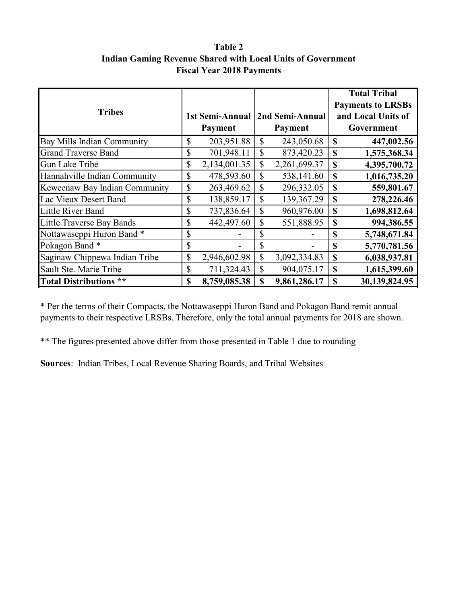**Fiscal Year 2018 Payments Indian Gaming Revenue Shared with Local Units of Government Table 2**

|                                  |               |                 |              |                 |                    | <b>Total Tribal</b>      |  |
|----------------------------------|---------------|-----------------|--------------|-----------------|--------------------|--------------------------|--|
| <b>Tribes</b>                    |               |                 |              |                 |                    | <b>Payments to LRSBs</b> |  |
|                                  |               | 1st Semi-Annual |              | 2nd Semi-Annual | and Local Units of |                          |  |
|                                  |               | Payment         |              | <b>Payment</b>  |                    | Government               |  |
| Bay Mills Indian Community       | $\mathcal{S}$ | 203,951.88      | \$           | 243,050.68      | \$                 | 447,002.56               |  |
| <b>Grand Traverse Band</b>       | \$            | 701,948.11      | \$           | 873,420.23      | \$                 | 1,575,368.34             |  |
| Gun Lake Tribe                   | \$            | 2,134,001.35    | \$           | 2,261,699.37    | \$                 | 4,395,700.72             |  |
| Hannahville Indian Community     | $\mathbb{S}$  | 478,593.60      | $\mathbb{S}$ | 538,141.60      | S                  | 1,016,735.20             |  |
| Keweenaw Bay Indian Community    | \$            | 263,469.62      | \$           | 296,332.05      | \$                 | 559,801.67               |  |
| Lac Vieux Desert Band            | $\mathcal{S}$ | 138,859.17      | \$           | 139,367.29      | \$                 | 278,226.46               |  |
| <b>Little River Band</b>         | \$            | 737,836.64      | $\mathbb{S}$ | 960,976.00      | \$                 | 1,698,812.64             |  |
| <b>Little Traverse Bay Bands</b> | \$            | 442,497.60      | \$           | 551,888.95      | \$                 | 994,386.55               |  |
| Nottawaseppi Huron Band*         | \$            |                 | \$           |                 | \$                 | 5,748,671.84             |  |
| Pokagon Band*                    | \$            |                 | \$           |                 | \$                 | 5,770,781.56             |  |
| Saginaw Chippewa Indian Tribe    | \$            | 2,946,602.98    | \$           | 3,092,334.83    | \$                 | 6,038,937.81             |  |
| Sault Ste. Marie Tribe           | \$            | 711,324.43      | \$           | 904,075.17      | \$                 | 1,615,399.60             |  |
| <b>Total Distributions **</b>    | S             | 8,759,085.38    | \$           | 9,861,286.17    | \$                 | 30,139,824.95            |  |

\* Per the terms of their Compacts, the Nottawaseppi Huron Band and Pokagon Band remit annual payments to their respective LRSBs. Therefore, only the total annual payments for 2018 are shown.

\*\* The figures presented above differ from those presented in Table 1 due to rounding

**Sources**: Indian Tribes, Local Revenue Sharing Boards, and Tribal Websites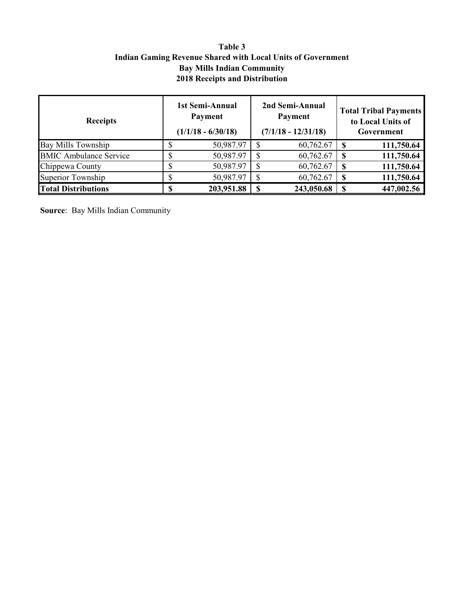## **Table 3 Indian Gaming Revenue Shared with Local Units of Government Bay Mills Indian Community 2018 Receipts and Distribution**

| <b>Receipts</b>               |  | 1st Semi-Annual<br>Payment<br>$(1/1/18 - 6/30/18)$ | 2nd Semi-Annual<br>Payment<br>$(7/1/18 - 12/31/18)$ |            |  | <b>Total Tribal Payments</b><br>to Local Units of<br>Government |  |  |
|-------------------------------|--|----------------------------------------------------|-----------------------------------------------------|------------|--|-----------------------------------------------------------------|--|--|
| Bay Mills Township            |  | 50,987.97                                          |                                                     | 60,762.67  |  | 111,750.64                                                      |  |  |
| <b>BMIC Ambulance Service</b> |  | 50,987.97                                          | <sup>\$</sup>                                       | 60,762.67  |  | 111,750.64                                                      |  |  |
| Chippewa County               |  | 50,987.97                                          |                                                     | 60,762.67  |  | 111,750.64                                                      |  |  |
| Superior Township             |  | 50,987.97                                          |                                                     | 60,762.67  |  | 111,750.64                                                      |  |  |
| <b>Total Distributions</b>    |  | 203,951.88                                         |                                                     | 243,050.68 |  | 447,002.56                                                      |  |  |

**Source**: Bay Mills Indian Community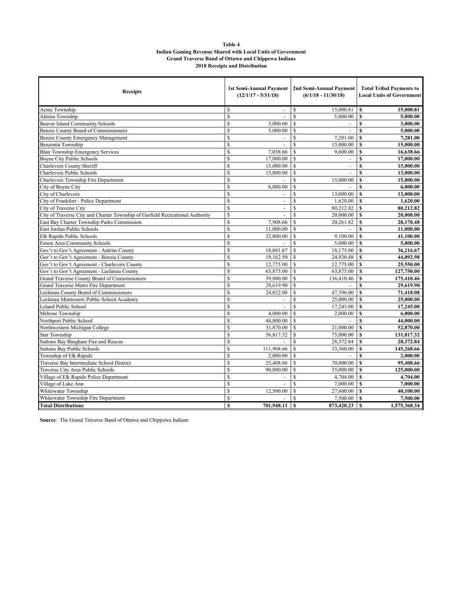| Table 4                                                            |
|--------------------------------------------------------------------|
| <b>Indian Gaming Revenue Shared with Local Units of Government</b> |
| <b>Grand Traverse Band of Ottawa and Chippewa Indians</b>          |
| <b>2018 Receipts and Distribution</b>                              |

| <b>Receipts</b>                                                               |                    | 1st Semi-Annual Payment<br>$(12/1/17 - 5/31/18)$ | 2nd Semi-Annual Payment<br>$(6/1/18 - 11/30/18)$ | <b>Total Tribal Payments to</b><br><b>Local Units of Government</b> |
|-------------------------------------------------------------------------------|--------------------|--------------------------------------------------|--------------------------------------------------|---------------------------------------------------------------------|
| Acme Township                                                                 | <sup>\$</sup>      | $\blacksquare$                                   | 15,000.81<br>S                                   | <b>S</b><br>15,000.81                                               |
| Almira Township                                                               | $\mathbf S$        |                                                  | S<br>5,000.00                                    | $\mathbf{s}$<br>5.000.00                                            |
| <b>Beaver Island Community Schools</b>                                        | \$                 | 3,000.00                                         | \$                                               | \$<br>3,000.00                                                      |
| Benzie County Board of Commissioners                                          | \$                 | 5.000.00                                         | S<br>$\overline{\phantom{a}}$                    | S<br>5,000.00                                                       |
| Benzie County Emergency Management                                            | \$                 | $\blacksquare$                                   | <sup>\$</sup><br>7,281.00                        | 7,281.00<br><b>S</b>                                                |
| Benzonia Township                                                             | <sup>\$</sup>      |                                                  | <sup>\$</sup><br>15,000.00                       | S<br>15,000.00                                                      |
| <b>Blair Township Emergency Services</b>                                      | \$                 | 7,038.66                                         | <sup>\$</sup><br>9,600.00                        | S<br>16,638.66                                                      |
| <b>Boyne City Public Schools</b>                                              | <sup>\$</sup>      | 17,000.00                                        | $\mathbf S$                                      | S<br>17,000.00                                                      |
| Charlevoix County Sheriff                                                     | \$                 | 15,000.00                                        | S<br>÷,                                          | S<br>15,000.00                                                      |
| Charlevoix Public Schools                                                     | \$                 | 13,000.00                                        | <sup>\$</sup>                                    | S<br>13,000.00                                                      |
| Charlevoix Township Fire Department                                           | $\mathbf S$        |                                                  | \$<br>15,000.00                                  | S<br>15,000.00                                                      |
| City of Boyne City                                                            | \$                 | 6,000.00                                         | \$                                               | S<br>6,000.00                                                       |
| City of Charlevoix                                                            | $\mathbf S$        | $\blacksquare$                                   | S<br>13,000.00                                   | S<br>13,000.00                                                      |
| City of Frankfort - Police Department                                         | \$                 | ÷.                                               | S<br>1,620.00                                    | <b>S</b><br>1,620.00                                                |
| City of Traverse City                                                         | $\mathbf{\hat{S}}$ | ÷                                                | S<br>80.212.82                                   | S<br>80.212.82                                                      |
| City of Traverse City and Charter Township of Garfield Recreational Authority | \$                 |                                                  | S<br>20,000.00                                   | S<br>20,000.00                                                      |
| East Bay Charter Township Parks Commission                                    | \$                 | 7,908.66                                         | S<br>20,261.82                                   | S<br>28,170.48                                                      |
| East Jordan Public Schools                                                    | \$                 | 11,000.00                                        | $\mathbf S$<br>$\blacksquare$                    | S<br>11,000.00                                                      |
| Elk Rapids Public Schools                                                     | <sup>\$</sup>      | 32,000.00                                        | <sup>\$</sup><br>9,100.00                        | $\mathbf{s}$<br>41,100.00                                           |
| Forest Area Community Schools                                                 | <sup>\$</sup>      |                                                  | <b>S</b><br>5,000.00                             | S<br>5,000.00                                                       |
| Gov't to Gov't Agreement - Antrim County                                      | $\mathbf S$        | 18,041.67                                        | <sup>S</sup><br>18,175.00                        | <b>S</b><br>36,216.67                                               |
| Gov't to Gov't Agreement - Benzie County                                      | $\mathbf S$        | 19,162.50                                        | <sup>\$</sup><br>24,930.48                       | S<br>44,092.98                                                      |
| Gov't to Gov't Agreement - Charlevoix County                                  | <sup>\$</sup>      | 12,775.00                                        | \$.<br>12,775.00                                 | $\mathbf{s}$<br>25,550.00                                           |
| Gov't to Gov't Agreement - Leelanau County                                    | \$                 | 63,875.00                                        | <sup>\$</sup><br>63,875.00                       | $\boldsymbol{s}$<br>127,750.00                                      |
| <b>Grand Traverse County Board of Commissioners</b>                           | \$                 | 39,000.00                                        | $\mathbf S$<br>136,410.46                        | <b>S</b><br>175,410.46                                              |
| Grand Traverse Metro Fire Department                                          | \$                 | 29,619.90                                        | <sup>S</sup>                                     | S<br>29,619.90                                                      |
| Leelanau County Board of Commissioners                                        | $\mathbf S$        | 24,022.08                                        | <b>S</b><br>47,396.00                            | S<br>71,418.08                                                      |
| Leelanau Montessori Public School Academy                                     | \$                 |                                                  | \$<br>25,000.00                                  | <b>S</b><br>25,000.00                                               |
| Leland Public School                                                          | <sup>\$</sup>      |                                                  | $\mathbf S$<br>17,245.00                         | S<br>17,245.00                                                      |
| Melrose Township                                                              | \$                 | 4,000.00                                         | \$<br>2,000.00                                   | \$<br>6,000.00                                                      |
| Northport Public School                                                       | \$                 | 44,000.00                                        | <sup>\$</sup>                                    | \$<br>44,000.00                                                     |
| Northwestern Michigan College                                                 | \$                 | 31,870.00                                        | S<br>21,000.00                                   | s<br>52,870.00                                                      |
| <b>Star Township</b>                                                          | $\mathbf S$        | 56,817.32                                        | <sup>\$</sup><br>75,000.00                       | s<br>131,817.32                                                     |
| Suttons Bay Bingham Fire and Rescue                                           | <sup>\$</sup>      |                                                  | $\mathbf S$<br>28.372.84                         | $\mathbf{s}$<br>28,372.84                                           |
| <b>Suttons Bay Public Schools</b>                                             | $\mathbf S$        | 111,908.66                                       | $\mathbf S$<br>33,360.00                         | S<br>145,268.66                                                     |
| Township of Elk Rapids                                                        | $\mathbf S$        | 2.000.00                                         | S                                                | S<br>2.000.00                                                       |
| Traverse Bay Intermediate School District                                     | \$                 | 25,408.66                                        | S<br>70,000.00                                   | S<br>95,408.66                                                      |
| Traverse City Area Public Schools                                             | \$                 | 90,000.00                                        | <sup>\$</sup><br>35,000.00                       | <b>S</b><br>125,000.00                                              |
| Village of Elk Rapids Police Department                                       | \$                 | $\blacksquare$                                   | $\mathbf S$<br>4,704.00                          | s<br>4,704.00                                                       |
| Village of Lake Ann                                                           | $\mathbf S$        |                                                  | S<br>7,000.00                                    | <b>S</b><br>7,000.00                                                |
| Whitewater Township                                                           | \$                 | 12,500.00                                        | S<br>27,600.00                                   | S<br>40,100.00                                                      |
| Whitewater Township Fire Department                                           | $\mathbf S$        |                                                  | S<br>7,500.00                                    | 7,500.00<br><b>S</b>                                                |
| <b>Total Distributions</b>                                                    | $\mathbf{s}$       | 701,948.11                                       | \$<br>873,420.23                                 | $\boldsymbol{s}$<br>1,575,368.34                                    |

**Source**: The Grand Traverse Band of Ottawa and Chippewa Indians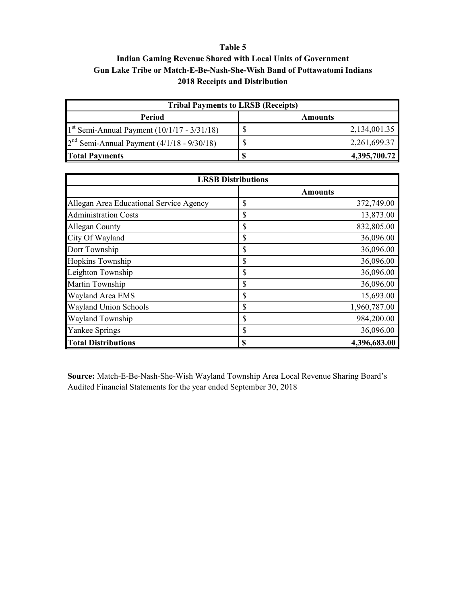#### **Table 5**

## **Indian Gaming Revenue Shared with Local Units of Government Gun Lake Tribe or Match-E-Be-Nash-She-Wish Band of Pottawatomi Indians 2018 Receipts and Distribution**

| <b>Tribal Payments to LRSB (Receipts)</b>       |  |                |  |  |  |  |  |  |  |  |
|-------------------------------------------------|--|----------------|--|--|--|--|--|--|--|--|
| Period                                          |  | <b>Amounts</b> |  |  |  |  |  |  |  |  |
| $1st$ Semi-Annual Payment (10/1/17 - 3/31/18)   |  | 2,134,001.35   |  |  |  |  |  |  |  |  |
| $2^{nd}$ Semi-Annual Payment (4/1/18 - 9/30/18) |  | 2,261,699.37   |  |  |  |  |  |  |  |  |
| <b>Total Payments</b>                           |  | 4,395,700.72   |  |  |  |  |  |  |  |  |

| <b>LRSB Distributions</b>               |    |                |  |  |  |  |  |  |
|-----------------------------------------|----|----------------|--|--|--|--|--|--|
|                                         |    | <b>Amounts</b> |  |  |  |  |  |  |
| Allegan Area Educational Service Agency | \$ | 372,749.00     |  |  |  |  |  |  |
| <b>Administration Costs</b>             | \$ | 13,873.00      |  |  |  |  |  |  |
| <b>Allegan County</b>                   | \$ | 832,805.00     |  |  |  |  |  |  |
| City Of Wayland                         | \$ | 36,096.00      |  |  |  |  |  |  |
| Dorr Township                           | \$ | 36,096.00      |  |  |  |  |  |  |
| Hopkins Township                        | \$ | 36,096.00      |  |  |  |  |  |  |
| Leighton Township                       | \$ | 36,096.00      |  |  |  |  |  |  |
| Martin Township                         | \$ | 36,096.00      |  |  |  |  |  |  |
| Wayland Area EMS                        | \$ | 15,693.00      |  |  |  |  |  |  |
| Wayland Union Schools                   | \$ | 1,960,787.00   |  |  |  |  |  |  |
| Wayland Township                        | \$ | 984,200.00     |  |  |  |  |  |  |
| Yankee Springs                          | \$ | 36,096.00      |  |  |  |  |  |  |
| <b>Total Distributions</b>              | \$ | 4,396,683.00   |  |  |  |  |  |  |

**Source:** Match-E-Be-Nash-She-Wish Wayland Township Area Local Revenue Sharing Board's Audited Financial Statements for the year ended September 30, 2018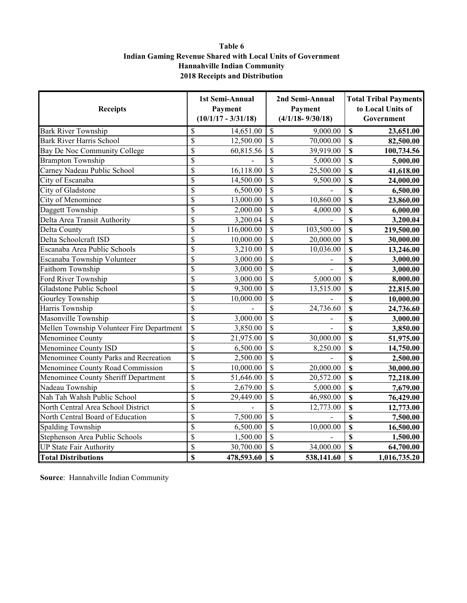#### **2018 Receipts and Distribution Hannahville Indian Community Indian Gaming Revenue Shared with Local Units of Government Table 6**

| <b>Receipts</b>                           |                          | 1st Semi-Annual<br>Payment<br>$(10/1/17 - 3/31/18)$ |                         | 2nd Semi-Annual<br>Payment<br>$(4/1/18 - 9/30/18)$ |                         | <b>Total Tribal Payments</b><br>to Local Units of<br>Government |
|-------------------------------------------|--------------------------|-----------------------------------------------------|-------------------------|----------------------------------------------------|-------------------------|-----------------------------------------------------------------|
| <b>Bark River Township</b>                | \$                       | 14,651.00                                           | \$                      | 9,000.00                                           | $\mathbf S$             | 23,651.00                                                       |
| <b>Bark River Harris School</b>           | \$                       | 12,500.00                                           | \$                      | 70,000.00                                          | \$                      | 82,500.00                                                       |
| Bay De Noc Community College              | $\overline{\mathcal{S}}$ | 60,815.56                                           | \$                      | 39,919.00                                          | \$                      | 100,734.56                                                      |
| <b>Brampton Township</b>                  | $\overline{\mathcal{S}}$ |                                                     | \$                      | 5,000.00                                           | \$                      | 5,000.00                                                        |
| Carney Nadeau Public School               | $\overline{\$}$          | 16,118.00                                           | $\overline{\mathbb{S}}$ | 25,500.00                                          | \$                      | 41,618.00                                                       |
| City of Escanaba                          | $\overline{\$}$          | 14,500.00                                           | $\overline{\mathbb{S}}$ | 9,500.00                                           | \$                      | 24,000.00                                                       |
| City of Gladstone                         | $\overline{\$}$          | 6,500.00                                            | $\overline{\mathbb{S}}$ |                                                    | \$                      | 6,500.00                                                        |
| City of Menominee                         | $\overline{\$}$          | 13,000.00                                           | $\overline{\mathbb{S}}$ | 10,860.00                                          | \$                      | 23,860.00                                                       |
| Daggett Township                          | $\overline{\$}$          | 2,000.00                                            | $\overline{\mathbb{S}}$ | 4,000.00                                           | $\overline{\mathbf{S}}$ | 6,000.00                                                        |
| Delta Area Transit Authority              | $\overline{\$}$          | 3,200.04                                            | $\overline{\$}$         |                                                    | \$                      | 3,200.04                                                        |
| Delta County                              | \$                       | 116,000.00                                          | $\overline{\mathbb{S}}$ | 103,500.00                                         | \$                      | 219,500.00                                                      |
| Delta Schoolcraft ISD                     | \$                       | 10,000.00                                           | $\overline{\mathbb{S}}$ | 20,000.00                                          | \$                      | 30,000.00                                                       |
| Escanaba Area Public Schools              | \$                       | 3,210.00                                            | $\overline{\mathbb{S}}$ | 10,036.00                                          | \$                      | 13,246.00                                                       |
| Escanaba Township Volunteer               | $\overline{\mathcal{S}}$ | 3,000.00                                            | $\overline{\mathbb{S}}$ |                                                    | \$                      | 3,000.00                                                        |
| Faithorn Township                         | $\overline{\mathcal{S}}$ | 3,000.00                                            | $\overline{\mathbb{S}}$ |                                                    | $\overline{\mathbf{s}}$ | 3,000.00                                                        |
| Ford River Township                       | $\overline{\mathbb{S}}$  | 3,000.00                                            | $\overline{\mathbb{S}}$ | 5,000.00                                           | $\overline{\mathbf{S}}$ | 8,000.00                                                        |
| Gladstone Public School                   | $\overline{\$}$          | 9,300.00                                            | $\overline{\mathbb{S}}$ | 13,515.00                                          | \$                      | 22,815.00                                                       |
| Gourley Township                          | $\overline{\$}$          | 10,000.00                                           | $\overline{\mathbb{S}}$ |                                                    | \$                      | 10,000.00                                                       |
| Harris Township                           | $\overline{\$}$          |                                                     | \$                      | 24,736.60                                          | $\overline{\mathbf{s}}$ | 24,736.60                                                       |
| Masonville Township                       | $\overline{\$}$          | 3,000.00                                            | \$                      |                                                    | \$                      | 3,000.00                                                        |
| Mellen Township Volunteer Fire Department | $\overline{\mathcal{S}}$ | 3,850.00                                            | $\overline{\mathbb{S}}$ |                                                    | $\overline{\mathbf{S}}$ | 3,850.00                                                        |
| Menominee County                          | \$                       | 21,975.00                                           | \$                      | 30,000.00                                          | \$                      | 51,975.00                                                       |
| Menominee County ISD                      | $\overline{\mathbb{S}}$  | 6,500.00                                            | $\overline{\mathbb{S}}$ | 8,250.00                                           | \$                      | 14,750.00                                                       |
| Menominee County Parks and Recreation     | $\overline{\$}$          | 2,500.00                                            | $\overline{\mathbb{S}}$ |                                                    | \$                      | 2,500.00                                                        |
| Menominee County Road Commission          | $\overline{\$}$          | 10,000.00                                           | $\overline{\mathbb{S}}$ | 20,000.00                                          | \$                      | 30,000.00                                                       |
| Menominee County Sheriff Department       | $\overline{\$}$          | 51,646.00                                           | $\overline{\mathbb{S}}$ | 20,572.00                                          | $\overline{\mathbf{S}}$ | 72,218.00                                                       |
| Nadeau Township                           | $\overline{\$}$          | 2,679.00                                            | \$                      | 5,000.00                                           | \$                      | 7,679.00                                                        |
| Nah Tah Wahsh Public School               | $\overline{\$}$          | 29,449.00                                           | $\overline{\mathbb{S}}$ | 46,980.00                                          | $\overline{\mathbf{S}}$ | 76,429.00                                                       |
| North Central Area School District        | \$                       |                                                     | \$                      | 12,773.00                                          | \$                      | 12,773.00                                                       |
| North Central Board of Education          | \$                       | 7,500.00                                            | \$                      |                                                    | \$                      | 7,500.00                                                        |
| Spalding Township                         | \$                       | 6,500.00                                            | \$                      | 10,000.00                                          | \$                      | 16,500.00                                                       |
| Stephenson Area Public Schools            | \$                       | 1,500.00                                            | \$                      |                                                    | \$                      | 1,500.00                                                        |
| <b>UP State Fair Authority</b>            | \$                       | 30,700.00                                           | \$                      | 34,000.00                                          | \$                      | 64,700.00                                                       |
| <b>Total Distributions</b>                | \$                       | 478,593.60                                          | $\mathbf S$             | 538,141.60                                         | \$                      | 1,016,735.20                                                    |

**Source**: Hannahville Indian Community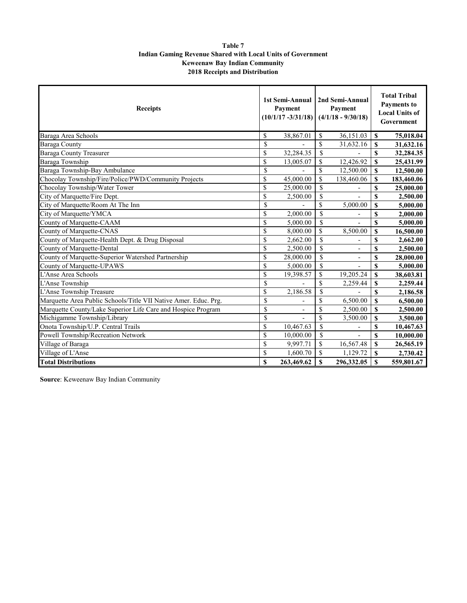#### **Table 7 Indian Gaming Revenue Shared with Local Units of Government Keweenaw Bay Indian Community 2018 Receipts and Distribution**

| <b>Receipts</b>                                                 |               | 1st Semi-Annual<br>Payment<br>$(10/1/17 - 3/31/18)$ |                          | 2nd Semi-Annual<br>Payment<br>$(4/1/18 - 9/30/18)$ |              | <b>Total Tribal</b><br><b>Payments to</b><br><b>Local Units of</b><br>Government |
|-----------------------------------------------------------------|---------------|-----------------------------------------------------|--------------------------|----------------------------------------------------|--------------|----------------------------------------------------------------------------------|
| Baraga Area Schools                                             | \$            | 38,867.01                                           | <sup>\$</sup>            | 36,151.03                                          | S            | 75,018.04                                                                        |
| Baraga County                                                   | <sup>\$</sup> |                                                     | \$                       | 31,632.16                                          | $\mathbf{s}$ | 31,632.16                                                                        |
| <b>Baraga County Treasurer</b>                                  | \$            | 32,284.35                                           | \$                       |                                                    | \$           | 32,284.35                                                                        |
| Baraga Township                                                 | \$            | 13,005.07                                           | \$                       | 12,426.92                                          | \$           | 25,431.99                                                                        |
| Baraga Township-Bay Ambulance                                   | \$            |                                                     | \$                       | 12,500.00                                          | $\mathbf S$  | 12,500.00                                                                        |
| Chocolay Township/Fire/Police/PWD/Community Projects            | \$            | 45,000.00                                           | \$                       | 138,460.06                                         | $\mathbf S$  | 183,460.06                                                                       |
| Chocolay Township/Water Tower                                   | \$            | 25,000.00                                           | \$                       |                                                    | \$           | 25,000.00                                                                        |
| City of Marquette/Fire Dept.                                    | \$            | 2,500.00                                            | \$                       |                                                    | S            | 2,500.00                                                                         |
| City of Marquette/Room At The Inn                               | \$            |                                                     | \$                       | 5,000.00                                           | $\mathbf{s}$ | 5,000.00                                                                         |
| City of Marquette/YMCA                                          | \$            | 2,000.00                                            | $\overline{\mathcal{S}}$ |                                                    | \$           | 2,000.00                                                                         |
| County of Marquette-CAAM                                        | \$            | 5,000.00                                            | \$                       |                                                    | $\mathbf S$  | 5,000.00                                                                         |
| County of Marquette-CNAS                                        | \$            | 8.000.00                                            | \$                       | 8,500.00                                           | $\mathbf{s}$ | 16,500.00                                                                        |
| County of Marquette-Health Dept. & Drug Disposal                | \$            | 2,662.00                                            | \$                       |                                                    | \$           | 2,662.00                                                                         |
| County of Marquette-Dental                                      | \$            | 2,500.00                                            | \$                       |                                                    | $\mathbf S$  | 2,500.00                                                                         |
| County of Marquette-Superior Watershed Partnership              | \$            | 28,000.00                                           | \$                       | $\blacksquare$                                     | \$           | 28,000.00                                                                        |
| County of Marquette-UPAWS                                       | \$            | 5,000.00                                            | \$                       |                                                    | \$           | 5,000.00                                                                         |
| L'Anse Area Schools                                             | \$            | 19,398.57                                           | $\mathcal{S}$            | 19,205.24                                          | $\mathbf S$  | 38,603.81                                                                        |
| L'Anse Township                                                 | \$            |                                                     | \$                       | 2,259.44                                           | S            | 2,259.44                                                                         |
| L'Anse Township Treasure                                        | \$            | 2,186.58                                            | \$                       |                                                    | \$           | 2,186.58                                                                         |
| Marquette Area Public Schools/Title VII Native Amer. Educ. Prg. | \$            |                                                     | \$                       | 6,500.00                                           | $\mathbf S$  | 6,500.00                                                                         |
| Marquette County/Lake Superior Life Care and Hospice Program    | \$            | $\overline{\phantom{a}}$                            | \$                       | 2,500.00                                           | $\mathbf{s}$ | 2,500.00                                                                         |
| Michigamme Township/Library                                     | \$            |                                                     | \$                       | 3.500.00                                           | $\mathbf S$  | 3,500.00                                                                         |
| Onota Township/U.P. Central Trails                              | \$            | 10,467.63                                           | \$                       |                                                    | \$           | 10,467.63                                                                        |
| Powell Township/Recreation Network                              | \$            | 10,000.00                                           | \$                       |                                                    | $\mathbf{s}$ | 10,000.00                                                                        |
| Village of Baraga                                               | \$            | 9,997.71                                            | <sup>\$</sup>            | 16,567.48                                          | $\mathbf S$  | 26,565.19                                                                        |
| Village of L'Anse                                               | \$            | 1,600.70                                            | $\mathcal{S}$            | 1,129.72                                           | $\mathbf S$  | 2,730.42                                                                         |
| <b>Total Distributions</b>                                      | \$            | 263,469.62                                          | <b>S</b>                 | 296,332.05                                         | S            | 559,801.67                                                                       |

**Source**: Keweenaw Bay Indian Community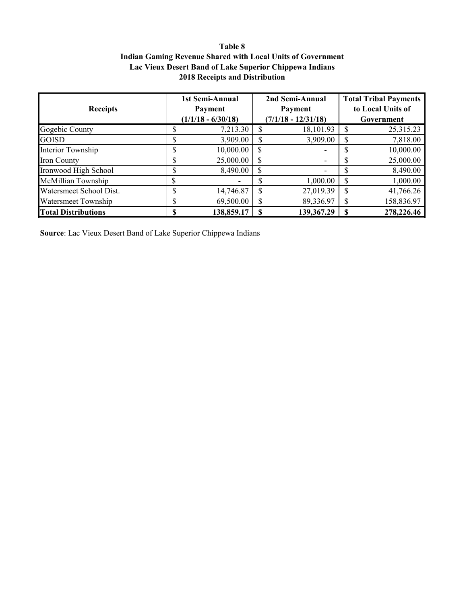### **2018 Receipts and Distribution Lac Vieux Desert Band of Lake Superior Chippewa Indians Indian Gaming Revenue Shared with Local Units of Government Table 8**

| <b>Receipts</b>            |    | 1st Semi-Annual<br>Payment<br>$(1/1/18 - 6/30/18)$ |          | 2nd Semi-Annual<br>Payment<br>$(7/1/18 - 12/31/18)$ | <b>Total Tribal Payments</b><br>to Local Units of<br>Government |            |  |
|----------------------------|----|----------------------------------------------------|----------|-----------------------------------------------------|-----------------------------------------------------------------|------------|--|
| Gogebic County             |    | 7,213.30                                           |          | 18,101.93                                           |                                                                 | 25,315.23  |  |
| <b>GOISD</b>               |    | 3,909.00                                           |          | 3,909.00                                            | ъ.                                                              | 7,818.00   |  |
| Interior Township          |    | 10,000.00                                          | \$       |                                                     |                                                                 | 10,000.00  |  |
| <b>Iron County</b>         | ۰ħ | 25,000.00                                          | \$       |                                                     | ۰Ν                                                              | 25,000.00  |  |
| Ironwood High School       | ۰D | 8,490.00                                           | \$       |                                                     |                                                                 | 8,490.00   |  |
| McMillian Township         | D  |                                                    | <b>S</b> | 1,000.00                                            |                                                                 | 1,000.00   |  |
| Watersmeet School Dist.    | J. | 14,746.87                                          | \$.      | 27,019.39                                           | S                                                               | 41,766.26  |  |
| Watersmeet Township        | ۰D | 69,500.00                                          |          | 89,336.97                                           | S                                                               | 158,836.97 |  |
| <b>Total Distributions</b> |    | 138,859.17                                         |          | 139,367.29                                          |                                                                 | 278,226.46 |  |

**Source**: Lac Vieux Desert Band of Lake Superior Chippewa Indians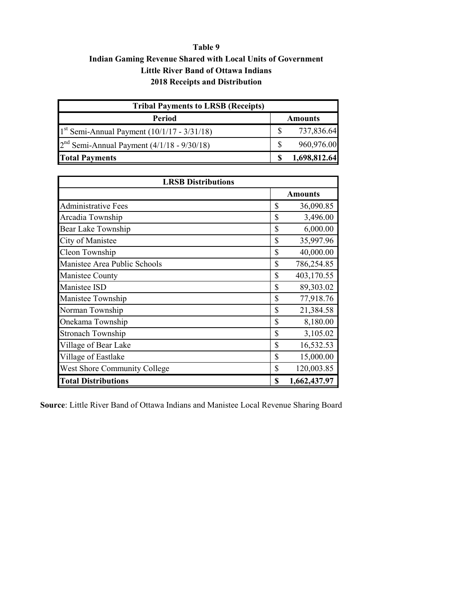## **Indian Gaming Revenue Shared with Local Units of Government Table 9 2018 Receipts and Distribution Little River Band of Ottawa Indians**

| <b>Tribal Payments to LRSB (Receipts)</b>     |  |                |  |  |  |  |  |  |  |
|-----------------------------------------------|--|----------------|--|--|--|--|--|--|--|
| <b>Period</b>                                 |  | <b>Amounts</b> |  |  |  |  |  |  |  |
| $1st$ Semi-Annual Payment (10/1/17 - 3/31/18) |  | 737,836.64     |  |  |  |  |  |  |  |
| $2nd$ Semi-Annual Payment (4/1/18 - 9/30/18)  |  | 960,976.00     |  |  |  |  |  |  |  |
| <b>Total Payments</b>                         |  | 1,698,812.64   |  |  |  |  |  |  |  |

| <b>LRSB Distributions</b>    |    |                |  |
|------------------------------|----|----------------|--|
|                              |    | <b>Amounts</b> |  |
| <b>Administrative Fees</b>   | \$ | 36,090.85      |  |
| Arcadia Township             | \$ | 3,496.00       |  |
| Bear Lake Township           | \$ | 6,000.00       |  |
| City of Manistee             | \$ | 35,997.96      |  |
| Cleon Township               | \$ | 40,000.00      |  |
| Manistee Area Public Schools | \$ | 786,254.85     |  |
| Manistee County              | \$ | 403,170.55     |  |
| Manistee ISD                 | \$ | 89,303.02      |  |
| Manistee Township            | \$ | 77,918.76      |  |
| Norman Township              | \$ | 21,384.58      |  |
| Onekama Township             | \$ | 8,180.00       |  |
| <b>Stronach Township</b>     | \$ | 3,105.02       |  |
| Village of Bear Lake         | \$ | 16,532.53      |  |
| Village of Eastlake          | \$ | 15,000.00      |  |
| West Shore Community College | \$ | 120,003.85     |  |
| <b>Total Distributions</b>   | \$ | 1,662,437.97   |  |

**Source**: Little River Band of Ottawa Indians and Manistee Local Revenue Sharing Board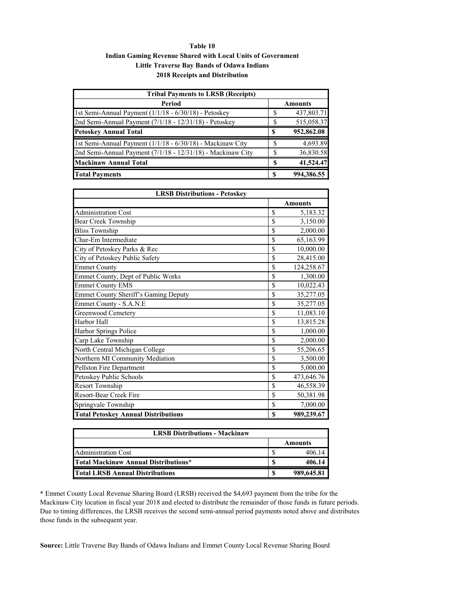#### **Table 10 Indian Gaming Revenue Shared with Local Units of Government Little Traverse Bay Bands of Odawa Indians 2018 Receipts and Distribution**

| <b>Tribal Payments to LRSB (Receipts)</b>                   |   |                |  |  |
|-------------------------------------------------------------|---|----------------|--|--|
| Period                                                      |   | <b>Amounts</b> |  |  |
| 1st Semi-Annual Payment (1/1/18 - 6/30/18) - Petoskey       | S | 437,803.71     |  |  |
| 2nd Semi-Annual Payment (7/1/18 - 12/31/18) - Petoskey      |   | 515,058.37     |  |  |
| <b>Petoskey Annual Total</b>                                | S | 952,862.08     |  |  |
| 1st Semi-Annual Payment (1/1/18 - 6/30/18) - Mackinaw City  |   | 4,693.89       |  |  |
| 2nd Semi-Annual Payment (7/1/18 - 12/31/18) - Mackinaw City |   | 36,830.58      |  |  |
| <b>Mackinaw Annual Total</b>                                |   | 41,524.47      |  |  |
| <b>Total Payments</b>                                       |   | 994,386.55     |  |  |

| <b>LRSB Distributions - Petoskey</b>        |               |                |  |
|---------------------------------------------|---------------|----------------|--|
|                                             |               | <b>Amounts</b> |  |
| <b>Administration Cost</b>                  | \$            | 5,183.32       |  |
| <b>Bear Creek Township</b>                  | \$            | 3,150.00       |  |
| <b>Bliss Township</b>                       | \$            | 2,000.00       |  |
| Char-Em Intermediate                        | \$            | 65,163.99      |  |
| City of Petoskey Parks & Rec                | \$            | 10,000.00      |  |
| City of Petoskey Public Safety              | \$            | 28,415.00      |  |
| <b>Emmet County</b>                         | \$            | 124,258.67     |  |
| Emmet County, Dept of Public Works          | \$            | 1,300.00       |  |
| <b>Emmet County EMS</b>                     | \$            | 10,022.43      |  |
| <b>Emmet County Sheriff's Gaming Deputy</b> | \$            | 35,277.05      |  |
| Emmet County - S.A.N.E                      | \$            | 35,277.05      |  |
| Greenwood Cemetery                          | <sup>\$</sup> | 11,083.10      |  |
| Harbor Hall                                 | \$            | 13,815.28      |  |
| Harbor Springs Police                       | <sup>\$</sup> | 1,000.00       |  |
| Carp Lake Township                          | \$            | 2,000.00       |  |
| North Central Michigan College              | \$            | 55,206.65      |  |
| Northern MI Community Mediation             | \$            | 3,500.00       |  |
| Pellston Fire Department                    | \$            | 5,000.00       |  |
| Petoskey Public Schools                     | \$            | 473,646.76     |  |
| <b>Resort Township</b>                      | \$            | 46,558.39      |  |
| <b>Resort-Bear Creek Fire</b>               | \$            | 50,381.98      |  |
| Springvale Township                         | \$            | 7,000.00       |  |
| <b>Total Petoskey Annual Distributions</b>  | S             | 989,239.67     |  |

| <b>LRSB Distributions - Mackinaw</b>   |   |            |  |  |
|----------------------------------------|---|------------|--|--|
|                                        |   | Amounts    |  |  |
| <b>Administration Cost</b>             |   | 406.14     |  |  |
| Total Mackinaw Annual Distributions*   |   | 406.14     |  |  |
| <b>Total LRSB Annual Distributions</b> | S | 989,645.81 |  |  |

**\*** Emmet County Local Revenue Sharing Board (LRSB) received the \$4,693 payment from the tribe for the Mackinaw City location in fiscal year 2018 and elected to distribute the remainder of those funds in future periods. Due to timing differences, the LRSB receives the second semi-annual period payments noted above and distributes those funds in the subsequent year.

**Source:** Little Traverse Bay Bands of Odawa Indians and Emmet County Local Revenue Sharing Board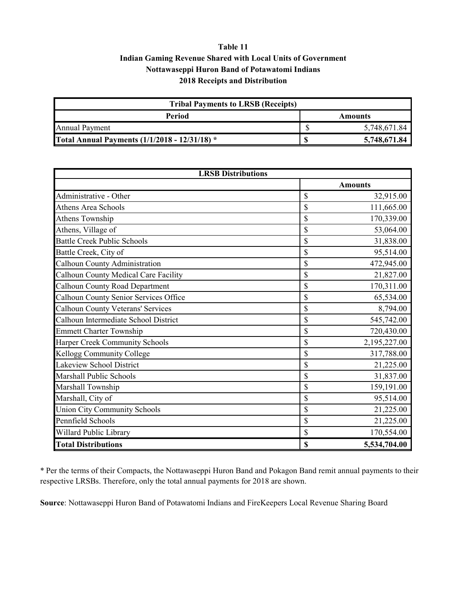## **Table 11 Indian Gaming Revenue Shared with Local Units of Government Nottawaseppi Huron Band of Potawatomi Indians 2018 Receipts and Distribution**

| <b>Tribal Payments to LRSB (Receipts)</b>            |  |              |  |  |
|------------------------------------------------------|--|--------------|--|--|
| Period<br>Amounts                                    |  |              |  |  |
| Annual Payment                                       |  | 5,748,671.84 |  |  |
| <b>Total Annual Payments (1/1/2018 - 12/31/18)</b> * |  | 5,748,671.84 |  |  |

| <b>LRSB Distributions</b>                |    |                |  |  |
|------------------------------------------|----|----------------|--|--|
|                                          |    | <b>Amounts</b> |  |  |
| Administrative - Other                   | \$ | 32,915.00      |  |  |
| Athens Area Schools                      | \$ | 111,665.00     |  |  |
| Athens Township                          | \$ | 170,339.00     |  |  |
| Athens, Village of                       | \$ | 53,064.00      |  |  |
| <b>Battle Creek Public Schools</b>       | \$ | 31,838.00      |  |  |
| Battle Creek, City of                    | \$ | 95,514.00      |  |  |
| Calhoun County Administration            | \$ | 472,945.00     |  |  |
| Calhoun County Medical Care Facility     | \$ | 21,827.00      |  |  |
| Calhoun County Road Department           | \$ | 170,311.00     |  |  |
| Calhoun County Senior Services Office    | \$ | 65,534.00      |  |  |
| <b>Calhoun County Veterans' Services</b> | \$ | 8,794.00       |  |  |
| Calhoun Intermediate School District     | \$ | 545,742.00     |  |  |
| <b>Emmett Charter Township</b>           | \$ | 720,430.00     |  |  |
| Harper Creek Community Schools           | \$ | 2,195,227.00   |  |  |
| Kellogg Community College                | \$ | 317,788.00     |  |  |
| Lakeview School District                 | \$ | 21,225.00      |  |  |
| Marshall Public Schools                  | \$ | 31,837.00      |  |  |
| Marshall Township                        | \$ | 159,191.00     |  |  |
| Marshall, City of                        | \$ | 95,514.00      |  |  |
| <b>Union City Community Schools</b>      | \$ | 21,225.00      |  |  |
| Pennfield Schools                        | \$ | 21,225.00      |  |  |
| Willard Public Library                   | \$ | 170,554.00     |  |  |
| <b>Total Distributions</b>               | \$ | 5,534,704.00   |  |  |

\* Per the terms of their Compacts, the Nottawaseppi Huron Band and Pokagon Band remit annual payments to their respective LRSBs. Therefore, only the total annual payments for 2018 are shown.

**Source**: Nottawaseppi Huron Band of Potawatomi Indians and FireKeepers Local Revenue Sharing Board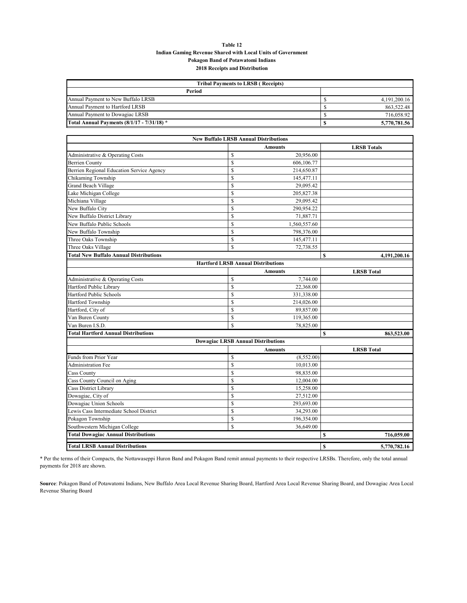#### **Table 12 Indian Gaming Revenue Shared with Local Units of Government Pokagon Band of Potawatomi Indians 2018 Receipts and Distribution**

| <b>Tribal Payments to LRSB (Receipts)</b>  |  |              |  |  |
|--------------------------------------------|--|--------------|--|--|
| Period                                     |  |              |  |  |
| Annual Payment to New Buffalo LRSB         |  | 4.191.200.16 |  |  |
| Annual Payment to Hartford LRSB            |  | 863,522.48   |  |  |
| Annual Payment to Dowagiac LRSB            |  | 716,058.92   |  |  |
| Total Annual Payments (8/1/17 - 7/31/18) * |  | 5,770,781.56 |  |  |

| <b>Amounts</b><br><b>LRSB</b> Totals<br>\$<br>20,956.00<br>Administrative & Operating Costs<br>\$<br><b>Berrien County</b><br>606,106.77<br>$\mathbf S$<br>Berrien Regional Education Service Agency<br>214,650.87<br>Chikaming Township<br>\$<br>145,477.11<br>\$<br>Grand Beach Village<br>29,095.42<br>\$<br>Lake Michigan College<br>205,827.38 |
|-----------------------------------------------------------------------------------------------------------------------------------------------------------------------------------------------------------------------------------------------------------------------------------------------------------------------------------------------------|
|                                                                                                                                                                                                                                                                                                                                                     |
|                                                                                                                                                                                                                                                                                                                                                     |
|                                                                                                                                                                                                                                                                                                                                                     |
|                                                                                                                                                                                                                                                                                                                                                     |
|                                                                                                                                                                                                                                                                                                                                                     |
|                                                                                                                                                                                                                                                                                                                                                     |
|                                                                                                                                                                                                                                                                                                                                                     |
| \$<br>Michiana Village<br>29,095.42                                                                                                                                                                                                                                                                                                                 |
| \$<br>New Buffalo City<br>290,954.22                                                                                                                                                                                                                                                                                                                |
| New Buffalo District Library<br>$\mathbf S$<br>71,887.71                                                                                                                                                                                                                                                                                            |
| New Buffalo Public Schools<br>\$<br>1,560,557.60                                                                                                                                                                                                                                                                                                    |
| \$<br>New Buffalo Township<br>798,376.00                                                                                                                                                                                                                                                                                                            |
| \$<br>Three Oaks Township<br>145,477.11                                                                                                                                                                                                                                                                                                             |
| $\overline{\mathbf{S}}$<br>Three Oaks Village<br>72,738.55                                                                                                                                                                                                                                                                                          |
| <b>Total New Buffalo Annual Distributions</b><br>S<br>4,191,200.16                                                                                                                                                                                                                                                                                  |
| <b>Hartford LRSB Annual Distributions</b>                                                                                                                                                                                                                                                                                                           |
| <b>LRSB</b> Total<br><b>Amounts</b>                                                                                                                                                                                                                                                                                                                 |
| Administrative & Operating Costs<br>\$<br>7,744.00                                                                                                                                                                                                                                                                                                  |
| \$<br>Hartford Public Library<br>22,368.00                                                                                                                                                                                                                                                                                                          |
| \$<br>Hartford Public Schools<br>331,338.00                                                                                                                                                                                                                                                                                                         |
| \$<br>Hartford Township<br>214,026.00                                                                                                                                                                                                                                                                                                               |
| \$<br>Hartford, City of<br>89,857.00                                                                                                                                                                                                                                                                                                                |
| \$<br>Van Buren County<br>119,365.00                                                                                                                                                                                                                                                                                                                |
| \$<br>Van Buren I.S.D.<br>78,825.00                                                                                                                                                                                                                                                                                                                 |
| <b>Total Hartford Annual Distributions</b><br>\$<br>863,523.00                                                                                                                                                                                                                                                                                      |
| <b>Dowagiac LRSB Annual Distributions</b>                                                                                                                                                                                                                                                                                                           |
| <b>LRSB</b> Total<br><b>Amounts</b>                                                                                                                                                                                                                                                                                                                 |
| <b>Funds from Prior Year</b><br>\$<br>(8,552.00)                                                                                                                                                                                                                                                                                                    |
| \$<br><b>Administration Fee</b><br>10,013.00                                                                                                                                                                                                                                                                                                        |
| \$<br>98,835.00<br>Cass County                                                                                                                                                                                                                                                                                                                      |
| \$<br>Cass County Council on Aging<br>12,004.00                                                                                                                                                                                                                                                                                                     |
| \$<br>Cass District Library<br>15,258.00                                                                                                                                                                                                                                                                                                            |
| \$<br>Dowagiac, City of<br>27,512.00                                                                                                                                                                                                                                                                                                                |
| \$<br>Dowagiac Union Schools<br>293,693.00                                                                                                                                                                                                                                                                                                          |
| \$<br>Lewis Cass Intermediate School District<br>34,293.00                                                                                                                                                                                                                                                                                          |
| \$<br>Pokagon Township<br>196,354.00                                                                                                                                                                                                                                                                                                                |
| \$<br>Southwestern Michigan College<br>36,649.00                                                                                                                                                                                                                                                                                                    |
| <b>Total Dowagiac Annual Distributions</b><br>\$<br>716,059.00                                                                                                                                                                                                                                                                                      |
| <b>Total LRSB Annual Distributions</b><br>\$<br>5,770,782.16                                                                                                                                                                                                                                                                                        |

\* Per the terms of their Compacts, the Nottawaseppi Huron Band and Pokagon Band remit annual payments to their respective LRSBs. Therefore, only the total annual payments for 2018 are shown.

**Source**: Pokagon Band of Potawatomi Indians, New Buffalo Area Local Revenue Sharing Board, Hartford Area Local Revenue Sharing Board, and Dowagiac Area Local Revenue Sharing Board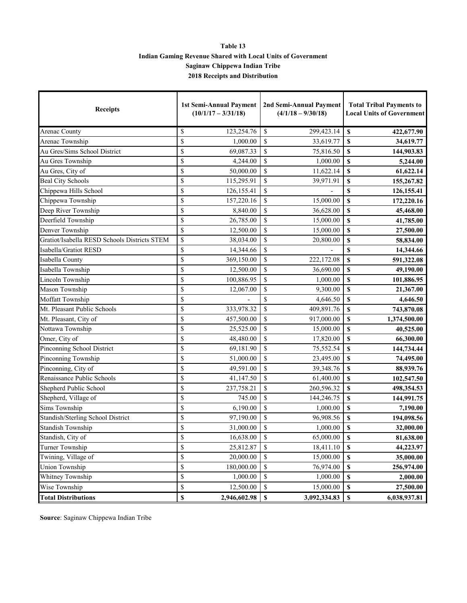#### **Indian Gaming Revenue Shared with Local Units of Government Table 13 2018 Receipts and Distribution Saginaw Chippewa Indian Tribe**

| <b>Receipts</b>                              | <b>1st Semi-Annual Payment</b> | 2nd Semi-Annual Payment | <b>Total Tribal Payments to</b>  |  |
|----------------------------------------------|--------------------------------|-------------------------|----------------------------------|--|
|                                              | $(10/1/17 - 3/31/18)$          | $(4/1/18 - 9/30/18)$    | <b>Local Units of Government</b> |  |
| Arenac County                                | \$                             | \$                      | $\mathbf S$                      |  |
|                                              | 123,254.76                     | 299,423.14              | 422,677.90                       |  |
| Arenac Township                              | \$                             | \$                      | \$                               |  |
|                                              | 1,000.00                       | 33,619.77               | 34,619.77                        |  |
| Au Gres/Sims School District                 | \$                             | \$                      | \$                               |  |
|                                              | 69,087.33                      | 75,816.50               | 144,903.83                       |  |
| Au Gres Township                             | \$                             | \$                      | \$                               |  |
|                                              | 4,244.00                       | 1,000.00                | 5,244.00                         |  |
| Au Gres, City of                             | \$                             | \$                      | \$                               |  |
|                                              | 50,000.00                      | 11,622.14               | 61,622.14                        |  |
| <b>Beal City Schools</b>                     | \$                             | \$                      | \$                               |  |
|                                              | 115,295.91                     | 39,971.91               | 155,267.82                       |  |
| Chippewa Hills School                        | \$<br>126,155.41               | \$                      | \$<br>126,155.41                 |  |
| Chippewa Township                            | \$                             | \$                      | \$                               |  |
|                                              | 157,220.16                     | 15,000.00               | 172,220.16                       |  |
| Deep River Township                          | \$                             | \$                      | \$                               |  |
|                                              | 8,840.00                       | 36,628.00               | 45,468.00                        |  |
| Deerfield Township                           | \$                             | \$                      | \$                               |  |
|                                              | 26,785.00                      | 15,000.00               | 41,785.00                        |  |
| Denver Township                              | \$                             | \$                      | \$                               |  |
|                                              | 12,500.00                      | 15,000.00               | 27,500.00                        |  |
| Gratiot/Isabella RESD Schools Districts STEM | \$                             | \$                      | \$                               |  |
|                                              | 38,034.00                      | 20,800.00               | 58,834.00                        |  |
| Isabella/Gratiot RESD                        | \$<br>14,344.66                | \$                      | \$<br>14,344.66                  |  |
| Isabella County                              | \$                             | \$                      | \$                               |  |
|                                              | 369,150.00                     | 222,172.08              | 591,322.08                       |  |
| Isabella Township                            | \$                             | \$                      | \$                               |  |
|                                              | 12,500.00                      | 36,690.00               | 49,190.00                        |  |
| Lincoln Township                             | \$                             | \$                      | \$                               |  |
|                                              | 100,886.95                     | 1,000.00                | 101,886.95                       |  |
| Mason Township                               | \$                             | \$                      | \$                               |  |
|                                              | 12,067.00                      | 9,300.00                | 21,367.00                        |  |
| Moffatt Township                             | \$                             | \$<br>4,646.50          | \$<br>4,646.50                   |  |
| Mt. Pleasant Public Schools                  | \$                             | \$                      | $\boldsymbol{\mathsf{S}}$        |  |
|                                              | 333,978.32                     | 409,891.76              | 743,870.08                       |  |
| Mt. Pleasant, City of                        | \$                             | \$                      | \$                               |  |
|                                              | 457,500.00                     | 917,000.00              | 1,374,500.00                     |  |
| Nottawa Township                             | \$                             | \$                      | \$                               |  |
|                                              | 25,525.00                      | 15,000.00               | 40,525.00                        |  |
| Omer, City of                                | \$                             | \$                      | \$                               |  |
|                                              | 48,480.00                      | 17,820.00               | 66,300.00                        |  |
| Pinconning School District                   | \$                             | \$                      | \$                               |  |
|                                              | 69,181.90                      | 75,552.54               | 144,734.44                       |  |
| Pinconning Township                          | \$                             | \$                      | \$                               |  |
|                                              | 51,000.00                      | 23,495.00               | 74,495.00                        |  |
| Pinconning, City of                          | \$                             | \$                      | $\boldsymbol{s}$                 |  |
|                                              | 49,591.00                      | 39,348.76               | 88,939.76                        |  |
| Renaissance Public Schools                   | \$                             | \$                      | $\mathbf S$                      |  |
|                                              | 41,147.50                      | 61,400.00               | 102,547.50                       |  |
| Shepherd Public School                       | \$                             | \$                      | \$                               |  |
|                                              | 237,758.21                     | 260,596.32              | 498,354.53                       |  |
| Shepherd, Village of                         | \$                             | \$                      | \$                               |  |
|                                              | 745.00                         | 144,246.75              | 144,991.75                       |  |
| Sims Township                                | \$                             | \$                      | \$                               |  |
|                                              | 6,190.00                       | 1,000.00                | 7,190.00                         |  |
| Standish/Sterling School District            | \$                             | \$                      | \$                               |  |
|                                              | 97,190.00                      | 96,908.56               | 194,098.56                       |  |
| <b>Standish Township</b>                     | \$                             | \$                      | \$                               |  |
|                                              | 31,000.00                      | 1,000.00                | 32,000.00                        |  |
| Standish, City of                            | \$                             | \$                      | $\mathbf S$                      |  |
|                                              | 16,638.00                      | 65,000.00               | 81,638.00                        |  |
| Turner Township                              | \$                             | \$                      | $\mathbf S$                      |  |
|                                              | 25,812.87                      | 18,411.10               | 44,223.97                        |  |
| Twining, Village of                          | \$                             | \$                      | $\mathbf S$                      |  |
|                                              | 20,000.00                      | 15,000.00               | 35,000.00                        |  |
| <b>Union Township</b>                        | \$                             | $\mathbb S$             | $\mathbb S$                      |  |
|                                              | 180,000.00                     | 76,974.00               | 256,974.00                       |  |
| Whitney Township                             | \$                             | \$                      | $\mathbb S$                      |  |
|                                              | 1,000.00                       | 1,000.00                | 2,000.00                         |  |
| Wise Township                                | \$                             | \$                      | $\mathbf S$                      |  |
|                                              | 12,500.00                      | 15,000.00               | 27,500.00                        |  |
| <b>Total Distributions</b>                   | $\mathbb S$                    | \$                      | $\mathbf S$                      |  |
|                                              | 2,946,602.98                   | 3,092,334.83            | 6,038,937.81                     |  |

**Source**: Saginaw Chippewa Indian Tribe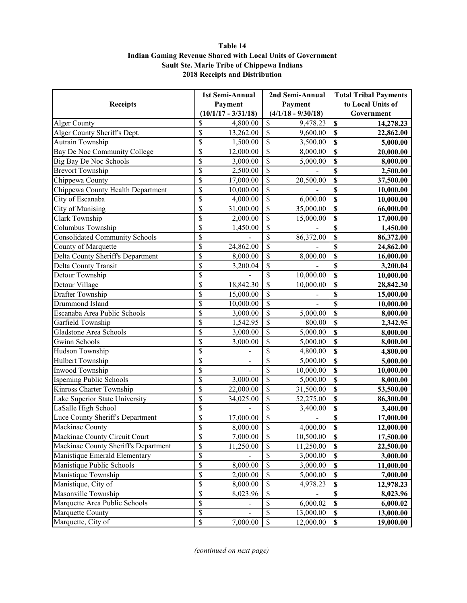#### **Table 14 Indian Gaming Revenue Shared with Local Units of Government Sault Ste. Marie Tribe of Chippewa Indians 2018 Receipts and Distribution**

|                                                                                                                                                                                                           | 1st Semi-Annual                                                                                                        | 2nd Semi-Annual                                                                                              | <b>Total Tribal Payments</b>           |
|-----------------------------------------------------------------------------------------------------------------------------------------------------------------------------------------------------------|------------------------------------------------------------------------------------------------------------------------|--------------------------------------------------------------------------------------------------------------|----------------------------------------|
| <b>Receipts</b>                                                                                                                                                                                           | Payment                                                                                                                | Payment                                                                                                      | to Local Units of                      |
|                                                                                                                                                                                                           | $(10/1/17 - 3/31/18)$                                                                                                  | $(4/1/18 - 9/30/18)$                                                                                         | Government                             |
| <b>Alger County</b>                                                                                                                                                                                       | $\overline{\mathbb{S}}$<br>4,800.00                                                                                    | $\overline{\mathbb{S}}$<br>9,478.23                                                                          | $\overline{\mathbf{s}}$<br>14,278.23   |
| Alger County Sheriff's Dept.                                                                                                                                                                              | \$<br>13,262.00                                                                                                        | $\overline{\mathbb{S}}$<br>9,600.00                                                                          | $\overline{\mathbf{s}}$<br>22,862.00   |
| Autrain Township                                                                                                                                                                                          | \$<br>1,500.00                                                                                                         | $\overline{\mathbb{S}}$<br>3,500.00                                                                          | \$<br>5,000.00                         |
| Bay De Noc Community College                                                                                                                                                                              | \$<br>12,000.00                                                                                                        | $\overline{\$}$<br>8,000.00                                                                                  | $\overline{\mathbf{s}}$<br>20,000.00   |
| <b>Big Bay De Noc Schools</b>                                                                                                                                                                             | \$<br>3,000.00                                                                                                         | \$<br>5,000.00                                                                                               | \$<br>8,000.00                         |
| <b>Brevort Township</b>                                                                                                                                                                                   | \$<br>2,500.00                                                                                                         | \$                                                                                                           | \$<br>2,500.00                         |
| Chippewa County                                                                                                                                                                                           | $\overline{\$}$<br>17,000.00                                                                                           | \$<br>20,500.00                                                                                              | \$<br>37,500.00                        |
| Chippewa County Health Department                                                                                                                                                                         | \$<br>10,000.00                                                                                                        | \$                                                                                                           | \$<br>10,000.00                        |
| City of Escanaba                                                                                                                                                                                          | \$<br>4,000.00                                                                                                         | \$<br>6,000.00                                                                                               | \$<br>10,000.00                        |
|                                                                                                                                                                                                           | \$<br>31,000.00                                                                                                        | \$<br>35,000.00                                                                                              | \$<br>66,000.00                        |
| <b>Clark Township</b>                                                                                                                                                                                     | \$<br>2,000.00                                                                                                         | \$<br>15,000.00                                                                                              | \$<br>17,000.00                        |
| Columbus Township                                                                                                                                                                                         | \$<br>1,450.00                                                                                                         | \$                                                                                                           | \$<br>1,450.00                         |
| <b>Consolidated Community Schools</b>                                                                                                                                                                     | \$                                                                                                                     | $\overline{\mathbb{S}}$<br>86,372.00                                                                         | \$<br>86,372.00                        |
| County of Marquette                                                                                                                                                                                       | \$<br>24,862.00                                                                                                        | $\overline{\mathbb{S}}$                                                                                      | \$<br>24,862.00                        |
|                                                                                                                                                                                                           | $\overline{\mathbb{S}}$                                                                                                | $\overline{\mathbb{S}}$                                                                                      | $\overline{\mathbf{s}}$<br>16,000.00   |
|                                                                                                                                                                                                           | $\overline{\$}$                                                                                                        | $\overline{\$}$                                                                                              | $\overline{\mathbf{s}}$<br>3,200.04    |
|                                                                                                                                                                                                           | \$                                                                                                                     | $\overline{\mathbb{S}}$<br>10,000.00                                                                         | \$<br>10,000.00                        |
|                                                                                                                                                                                                           | \$                                                                                                                     | $\overline{\mathbb{S}}$                                                                                      | \$<br>28,842.30                        |
|                                                                                                                                                                                                           | \$                                                                                                                     | \$                                                                                                           | \$<br>15,000.00                        |
| Drummond Island                                                                                                                                                                                           | \$<br>10,000.00                                                                                                        | \$                                                                                                           | \$<br>10,000.00                        |
| Escanaba Area Public Schools                                                                                                                                                                              | \$                                                                                                                     | \$<br>5,000.00                                                                                               | \$<br>8,000.00                         |
|                                                                                                                                                                                                           | $\overline{\mathbb{S}}$<br>1,542.95                                                                                    | \$<br>800.00                                                                                                 | \$<br>2,342.95                         |
| Gladstone Area Schools                                                                                                                                                                                    | \$<br>3,000.00                                                                                                         | \$<br>5,000.00                                                                                               | \$<br>8,000.00                         |
| Gwinn Schools                                                                                                                                                                                             | \$<br>3,000.00                                                                                                         | \$<br>5,000.00                                                                                               | \$<br>8,000.00                         |
| Hudson Township                                                                                                                                                                                           | \$                                                                                                                     | $\overline{\$}$<br>4,800.00                                                                                  | \$<br>4,800.00                         |
| Hulbert Township                                                                                                                                                                                          | \$                                                                                                                     | $\overline{\$}$<br>5,000.00                                                                                  | \$<br>5,000.00                         |
| <b>Inwood Township</b>                                                                                                                                                                                    | \$                                                                                                                     | $\overline{\mathbb{S}}$<br>10,000.00                                                                         | \$<br>10,000.00                        |
| Ispeming Public Schools                                                                                                                                                                                   | $\overline{\$}$<br>3,000.00                                                                                            | $\overline{\mathbb{S}}$<br>5,000.00                                                                          | $\overline{\mathbf{s}}$<br>8,000.00    |
| Kinross Charter Township                                                                                                                                                                                  | \$<br>22,000.00                                                                                                        | \$<br>31,500.00                                                                                              | \$<br>53,500.00                        |
| Lake Superior State University                                                                                                                                                                            | \$<br>34,025.00                                                                                                        | \$<br>52,275.00                                                                                              | \$<br>86,300.00                        |
| LaSalle High School                                                                                                                                                                                       | \$                                                                                                                     | \$<br>3,400.00                                                                                               | \$<br>3,400.00                         |
| Luce County Sheriff's Department                                                                                                                                                                          | \$<br>17,000.00                                                                                                        | \$                                                                                                           | \$<br>17,000.00                        |
| Mackinac County                                                                                                                                                                                           | $\overline{s}$                                                                                                         | \$                                                                                                           | $\mathbf S$<br>12,000.00               |
| Mackinac County Circuit Court                                                                                                                                                                             | \$<br>7,000.00                                                                                                         | \$<br>10,500.00                                                                                              | $\boldsymbol{\mathsf{S}}$<br>17,500.00 |
| Mackinac County Sheriff's Department                                                                                                                                                                      | \$<br>11,250.00                                                                                                        | \$                                                                                                           | \$<br>22,500.00                        |
| Manistique Emerald Elementary                                                                                                                                                                             | \$                                                                                                                     | \$<br>3,000.00                                                                                               | $\mathbb S$<br>3,000.00                |
| Manistique Public Schools                                                                                                                                                                                 | \$<br>8,000.00                                                                                                         | \$<br>3,000.00                                                                                               | \$<br>11,000.00                        |
| Manistique Township                                                                                                                                                                                       | \$<br>2,000.00                                                                                                         | \$<br>5,000.00                                                                                               | $\mathbf S$<br>7,000.00                |
|                                                                                                                                                                                                           | $\overline{\mathcal{S}}$                                                                                               | \$                                                                                                           | \$<br>12,978.23                        |
|                                                                                                                                                                                                           | $\overline{\mathcal{S}}$                                                                                               | \$                                                                                                           | 8,023.96                               |
| Marquette Area Public Schools                                                                                                                                                                             | $\overline{\$}$                                                                                                        | $\overline{\$}$                                                                                              | $\mathbf S$<br>6,000.02                |
| Marquette County                                                                                                                                                                                          |                                                                                                                        |                                                                                                              | \$<br>13,000.00                        |
| Marquette, City of                                                                                                                                                                                        |                                                                                                                        |                                                                                                              | 19,000.00                              |
| City of Munising<br>Delta County Sheriff's Department<br>Delta County Transit<br>Detour Township<br>Detour Village<br>Drafter Township<br>Garfield Township<br>Manistique, City of<br>Masonville Township | 8,000.00<br>3,200.04<br>18,842.30<br>15,000.00<br>3,000.00<br>8,000.00<br>8,000.00<br>8,023.96<br>\$<br>\$<br>7,000.00 | 8,000.00<br>10,000.00<br>4,000.00<br>11,250.00<br>4,978.23<br>6,000.02<br>\$<br>13,000.00<br>\$<br>12,000.00 | \$<br>\$                               |

*(continued on next page)*